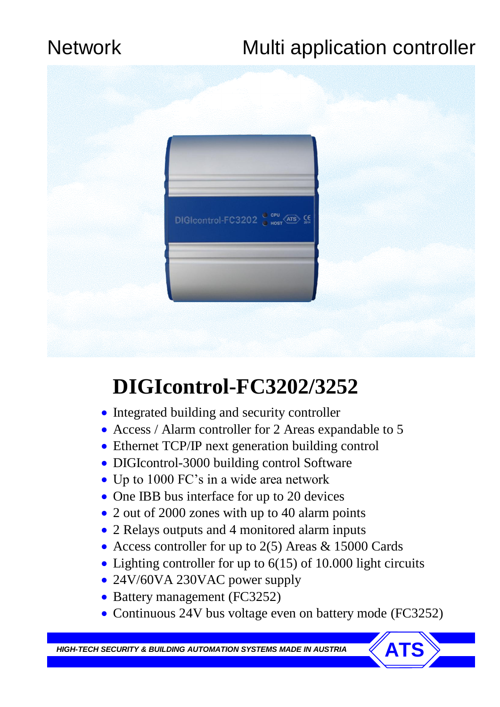## Network Multi application controller



# **DIGIcontrol-FC3202/3252**

- Integrated building and security controller
- Access / Alarm controller for 2 Areas expandable to 5
- Ethernet TCP/IP next generation building control
- DIGIcontrol-3000 building control Software
- Up to 1000 FC's in a wide area network
- One IBB bus interface for up to 20 devices
- 2 out of 2000 zones with up to 40 alarm points
- 2 Relays outputs and 4 monitored alarm inputs
- Access controller for up to 2(5) Areas & 15000 Cards
- Lighting controller for up to 6(15) of 10.000 light circuits
- 24V/60VA 230VAC power supply
- Battery management (FC3252)
- Continuous 24V bus voltage even on battery mode (FC3252)

**HIGH-TECH SECURITY & BUILDING AUTOMATION SYSTEMS MADE IN AUSTRIA**